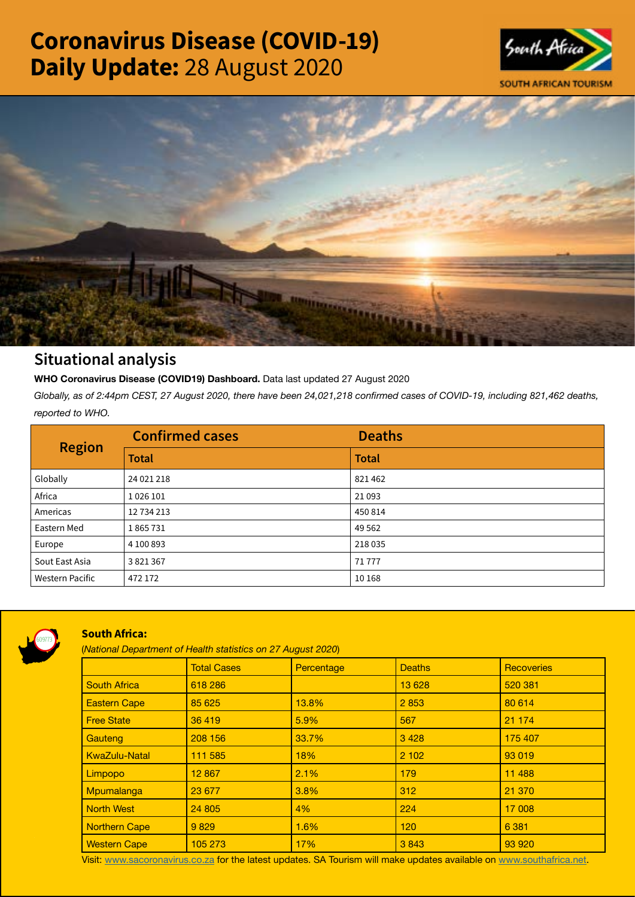# Coronavirus Disease (COVID-19) Daily Update: 28 August 2020





# Situational analysis

**WHO Coronavirus Disease (COVID19) Dashboard.** Data last updated 27 August 2020

*Globally, as of 2:44pm CEST, 27 August 2020, there have been 24,021,218 confirmed cases of COVID-19, including 821,462 deaths, reported to WHO.*

| <b>Region</b>          | <b>Confirmed cases</b> | <b>Deaths</b> |
|------------------------|------------------------|---------------|
|                        | <b>Total</b>           | <b>Total</b>  |
| Globally               | 24 021 218             | 821462        |
| Africa                 | 1026 101               | 21093         |
| Americas               | 12 734 213             | 450 814       |
| Eastern Med            | 1865731                | 49 5 62       |
| Europe                 | 4 100 893              | 218035        |
| Sout East Asia         | 3821367                | 71777         |
| <b>Western Pacific</b> | 472 172                | 10 168        |



## South Africa:

(*National Department of Health statistics on 27 August 2020*)

|                      | <b>Total Cases</b> | Percentage | <b>Deaths</b> | <b>Recoveries</b> |  |
|----------------------|--------------------|------------|---------------|-------------------|--|
| <b>South Africa</b>  | 618 286            |            | 13 6 28       | 520 381           |  |
| <b>Eastern Cape</b>  | 85 625             | 13.8%      | 2853          | 80 614            |  |
| <b>Free State</b>    | 36 419             | 5.9%       | 567           | 21 174            |  |
| Gauteng              | 208 156            | 33.7%      | 3428          | 175 407           |  |
| <b>KwaZulu-Natal</b> | 111 585            | 18%        | 2 10 2        | 93 019            |  |
| Limpopo              | 12 867             | 2.1%       | 179           | 11 4 8 8          |  |
| Mpumalanga           | 23 677             | 3.8%       | 312           | 21 370            |  |
| <b>North West</b>    | 24 805             | 4%         | 224           | 17 008            |  |
| Northern Cape        | 9829               | 1.6%       | 120           | 6 3 8 1           |  |
| <b>Western Cape</b>  | 105 273            | 17%        | 3843          | 93 920            |  |

Visit: [www.sacoronavirus.co.za](http://www.sacoronavirus.co.za) for the latest updates. SA Tourism will make updates available on [www.southafrica.net.](http://www.southafrica.net)